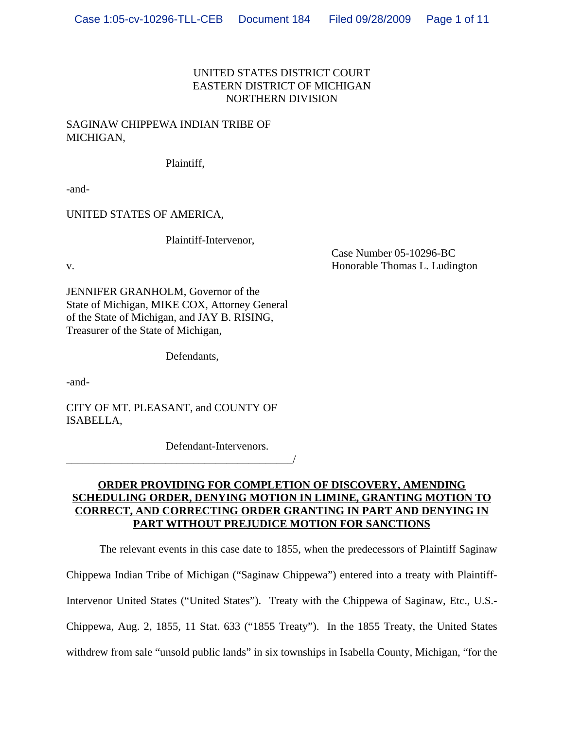# UNITED STATES DISTRICT COURT EASTERN DISTRICT OF MICHIGAN NORTHERN DIVISION

# SAGINAW CHIPPEWA INDIAN TRIBE OF MICHIGAN,

Plaintiff,

-and-

UNITED STATES OF AMERICA,

Plaintiff-Intervenor,

Case Number 05-10296-BC v. **Example 2018** Separate Thomas L. Ludington **Honorable Thomas L. Ludington** 

JENNIFER GRANHOLM, Governor of the State of Michigan, MIKE COX, Attorney General of the State of Michigan, and JAY B. RISING, Treasurer of the State of Michigan,

Defendants,

-and-

CITY OF MT. PLEASANT, and COUNTY OF ISABELLA,

\_\_\_\_\_\_\_\_\_\_\_\_\_\_\_\_\_\_\_\_\_\_\_\_\_\_\_\_\_\_\_\_\_\_\_\_\_\_\_\_\_/

Defendant-Intervenors.

# **ORDER PROVIDING FOR COMPLETION OF DISCOVERY, AMENDING SCHEDULING ORDER, DENYING MOTION IN LIMINE, GRANTING MOTION TO CORRECT, AND CORRECTING ORDER GRANTING IN PART AND DENYING IN PART WITHOUT PREJUDICE MOTION FOR SANCTIONS**

The relevant events in this case date to 1855, when the predecessors of Plaintiff Saginaw

Chippewa Indian Tribe of Michigan ("Saginaw Chippewa") entered into a treaty with Plaintiff-

Intervenor United States ("United States"). Treaty with the Chippewa of Saginaw, Etc., U.S.-

Chippewa, Aug. 2, 1855, 11 Stat. 633 ("1855 Treaty"). In the 1855 Treaty, the United States

withdrew from sale "unsold public lands" in six townships in Isabella County, Michigan, "for the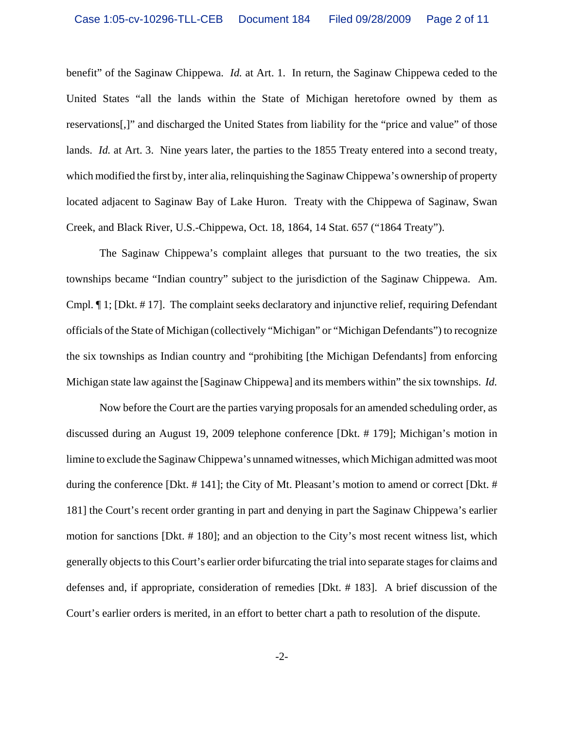benefit" of the Saginaw Chippewa. *Id.* at Art. 1. In return, the Saginaw Chippewa ceded to the United States "all the lands within the State of Michigan heretofore owned by them as reservations[,]" and discharged the United States from liability for the "price and value" of those lands. *Id.* at Art. 3. Nine years later, the parties to the 1855 Treaty entered into a second treaty, which modified the first by, inter alia, relinquishing the Saginaw Chippewa's ownership of property located adjacent to Saginaw Bay of Lake Huron. Treaty with the Chippewa of Saginaw, Swan Creek, and Black River, U.S.-Chippewa, Oct. 18, 1864, 14 Stat. 657 ("1864 Treaty").

The Saginaw Chippewa's complaint alleges that pursuant to the two treaties, the six townships became "Indian country" subject to the jurisdiction of the Saginaw Chippewa. Am. Cmpl. ¶ 1; [Dkt. # 17]. The complaint seeks declaratory and injunctive relief, requiring Defendant officials of the State of Michigan (collectively "Michigan" or "Michigan Defendants") to recognize the six townships as Indian country and "prohibiting [the Michigan Defendants] from enforcing Michigan state law against the [Saginaw Chippewa] and its members within" the six townships. *Id.*

Now before the Court are the parties varying proposals for an amended scheduling order, as discussed during an August 19, 2009 telephone conference [Dkt. # 179]; Michigan's motion in limine to exclude the Saginaw Chippewa's unnamed witnesses, which Michigan admitted was moot during the conference [Dkt. # 141]; the City of Mt. Pleasant's motion to amend or correct [Dkt. # 181] the Court's recent order granting in part and denying in part the Saginaw Chippewa's earlier motion for sanctions [Dkt. # 180]; and an objection to the City's most recent witness list, which generally objects to this Court's earlier order bifurcating the trial into separate stages for claims and defenses and, if appropriate, consideration of remedies [Dkt. # 183]. A brief discussion of the Court's earlier orders is merited, in an effort to better chart a path to resolution of the dispute.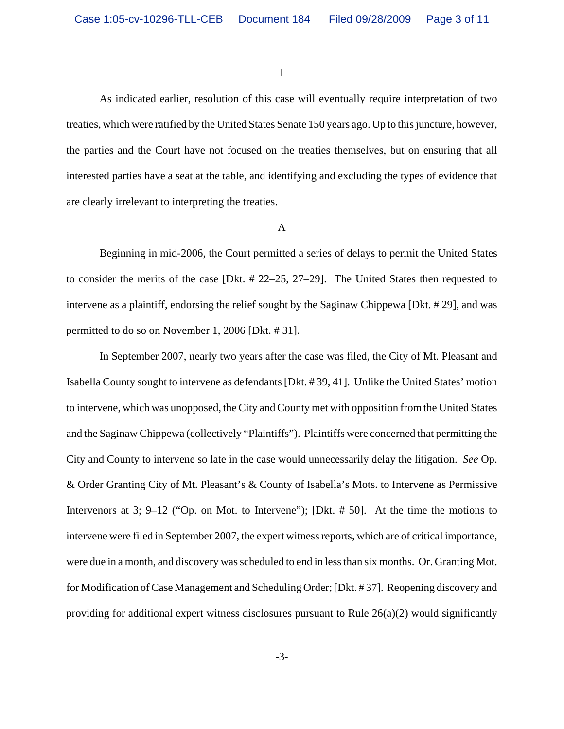I

As indicated earlier, resolution of this case will eventually require interpretation of two treaties, which were ratified by the United States Senate 150 years ago. Up to this juncture, however, the parties and the Court have not focused on the treaties themselves, but on ensuring that all interested parties have a seat at the table, and identifying and excluding the types of evidence that are clearly irrelevant to interpreting the treaties.

#### A

Beginning in mid-2006, the Court permitted a series of delays to permit the United States to consider the merits of the case [Dkt. # 22–25, 27–29]. The United States then requested to intervene as a plaintiff, endorsing the relief sought by the Saginaw Chippewa [Dkt. # 29], and was permitted to do so on November 1, 2006 [Dkt. # 31].

In September 2007, nearly two years after the case was filed, the City of Mt. Pleasant and Isabella County sought to intervene as defendants [Dkt. # 39, 41]. Unlike the United States' motion to intervene, which was unopposed, the City and County met with opposition from the United States and the Saginaw Chippewa (collectively "Plaintiffs"). Plaintiffs were concerned that permitting the City and County to intervene so late in the case would unnecessarily delay the litigation. *See* Op. & Order Granting City of Mt. Pleasant's & County of Isabella's Mots. to Intervene as Permissive Intervenors at 3; 9–12 ("Op. on Mot. to Intervene"); [Dkt. # 50]. At the time the motions to intervene were filed in September 2007, the expert witness reports, which are of critical importance, were due in a month, and discovery was scheduled to end in less than six months. Or. Granting Mot. for Modification of Case Management and Scheduling Order; [Dkt. # 37]. Reopening discovery and providing for additional expert witness disclosures pursuant to Rule  $26(a)(2)$  would significantly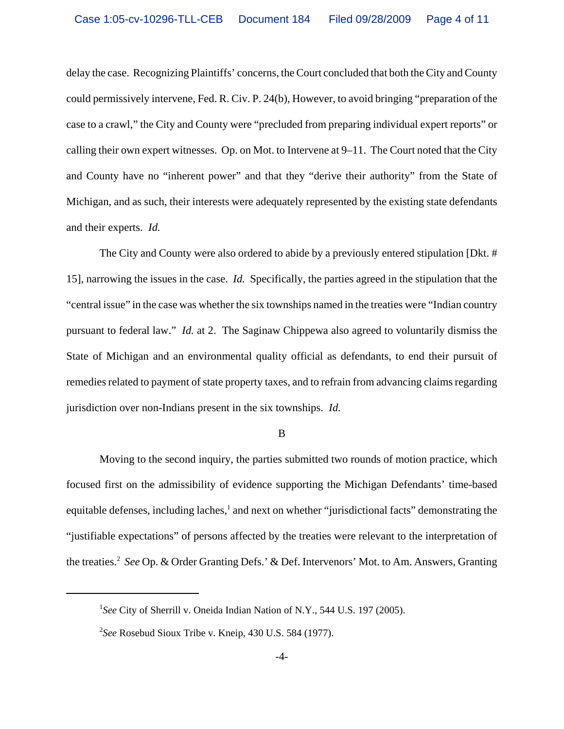delay the case. Recognizing Plaintiffs' concerns, the Court concluded that both the City and County could permissively intervene, Fed. R. Civ. P. 24(b), However, to avoid bringing "preparation of the case to a crawl," the City and County were "precluded from preparing individual expert reports" or calling their own expert witnesses. Op. on Mot. to Intervene at 9–11. The Court noted that the City and County have no "inherent power" and that they "derive their authority" from the State of Michigan, and as such, their interests were adequately represented by the existing state defendants and their experts. *Id.*

The City and County were also ordered to abide by a previously entered stipulation [Dkt. # 15], narrowing the issues in the case. *Id.* Specifically, the parties agreed in the stipulation that the "central issue" in the case was whether the six townships named in the treaties were "Indian country pursuant to federal law." *Id.* at 2. The Saginaw Chippewa also agreed to voluntarily dismiss the State of Michigan and an environmental quality official as defendants, to end their pursuit of remedies related to payment of state property taxes, and to refrain from advancing claims regarding jurisdiction over non-Indians present in the six townships. *Id.*

#### B

Moving to the second inquiry, the parties submitted two rounds of motion practice, which focused first on the admissibility of evidence supporting the Michigan Defendants' time-based equitable defenses, including laches,<sup>1</sup> and next on whether "jurisdictional facts" demonstrating the "justifiable expectations" of persons affected by the treaties were relevant to the interpretation of the treaties.2 *See* Op. & Order Granting Defs.' & Def. Intervenors' Mot. to Am. Answers, Granting

<sup>&</sup>lt;sup>1</sup>See City of Sherrill v. Oneida Indian Nation of N.Y., 544 U.S. 197 (2005).

<sup>2</sup> *See* Rosebud Sioux Tribe v. Kneip, 430 U.S. 584 (1977).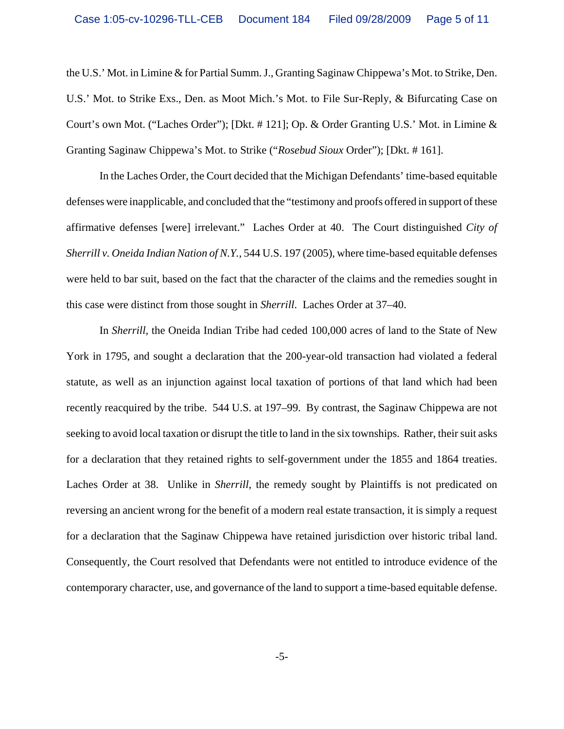the U.S.' Mot. in Limine & for Partial Summ. J., Granting Saginaw Chippewa's Mot. to Strike, Den. U.S.' Mot. to Strike Exs., Den. as Moot Mich.'s Mot. to File Sur-Reply, & Bifurcating Case on Court's own Mot. ("Laches Order"); [Dkt. # 121]; Op. & Order Granting U.S.' Mot. in Limine & Granting Saginaw Chippewa's Mot. to Strike ("*Rosebud Sioux* Order"); [Dkt. # 161].

In the Laches Order, the Court decided that the Michigan Defendants' time-based equitable defenses were inapplicable, and concluded that the "testimony and proofs offered in support of these affirmative defenses [were] irrelevant." Laches Order at 40. The Court distinguished *City of Sherrill v. Oneida Indian Nation of N.Y.*, 544 U.S. 197 (2005), where time-based equitable defenses were held to bar suit, based on the fact that the character of the claims and the remedies sought in this case were distinct from those sought in *Sherrill*. Laches Order at 37–40.

In *Sherrill*, the Oneida Indian Tribe had ceded 100,000 acres of land to the State of New York in 1795, and sought a declaration that the 200-year-old transaction had violated a federal statute, as well as an injunction against local taxation of portions of that land which had been recently reacquired by the tribe. 544 U.S. at 197–99. By contrast, the Saginaw Chippewa are not seeking to avoid local taxation or disrupt the title to land in the six townships. Rather, their suit asks for a declaration that they retained rights to self-government under the 1855 and 1864 treaties. Laches Order at 38. Unlike in *Sherrill*, the remedy sought by Plaintiffs is not predicated on reversing an ancient wrong for the benefit of a modern real estate transaction, it is simply a request for a declaration that the Saginaw Chippewa have retained jurisdiction over historic tribal land. Consequently, the Court resolved that Defendants were not entitled to introduce evidence of the contemporary character, use, and governance of the land to support a time-based equitable defense.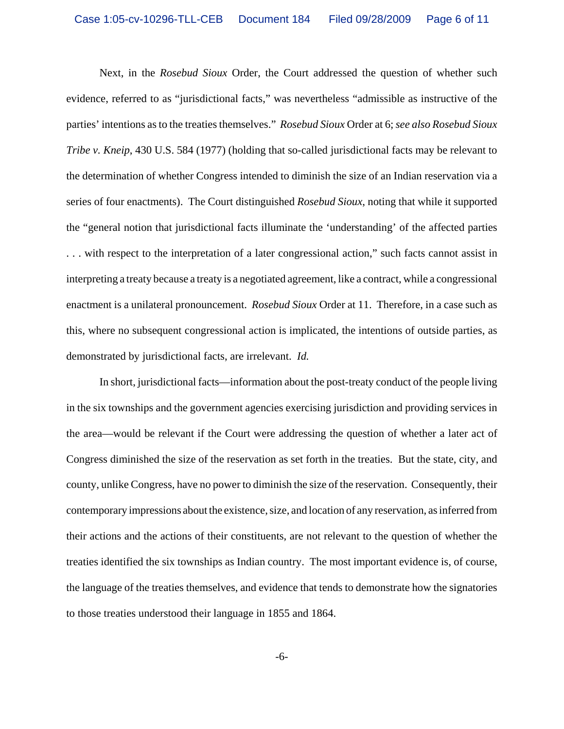Next, in the *Rosebud Sioux* Order, the Court addressed the question of whether such evidence, referred to as "jurisdictional facts," was nevertheless "admissible as instructive of the parties' intentions as to the treaties themselves." *Rosebud Sioux* Order at 6; *see also Rosebud Sioux Tribe v. Kneip*, 430 U.S. 584 (1977) (holding that so-called jurisdictional facts may be relevant to the determination of whether Congress intended to diminish the size of an Indian reservation via a series of four enactments). The Court distinguished *Rosebud Sioux*, noting that while it supported the "general notion that jurisdictional facts illuminate the 'understanding' of the affected parties . . . with respect to the interpretation of a later congressional action," such facts cannot assist in interpreting a treaty because a treaty is a negotiated agreement, like a contract, while a congressional enactment is a unilateral pronouncement. *Rosebud Sioux* Order at 11. Therefore, in a case such as this, where no subsequent congressional action is implicated, the intentions of outside parties, as demonstrated by jurisdictional facts, are irrelevant. *Id.*

In short, jurisdictional facts—information about the post-treaty conduct of the people living in the six townships and the government agencies exercising jurisdiction and providing services in the area—would be relevant if the Court were addressing the question of whether a later act of Congress diminished the size of the reservation as set forth in the treaties. But the state, city, and county, unlike Congress, have no power to diminish the size of the reservation. Consequently, their contemporary impressions about the existence, size, and location of any reservation, as inferred from their actions and the actions of their constituents, are not relevant to the question of whether the treaties identified the six townships as Indian country. The most important evidence is, of course, the language of the treaties themselves, and evidence that tends to demonstrate how the signatories to those treaties understood their language in 1855 and 1864.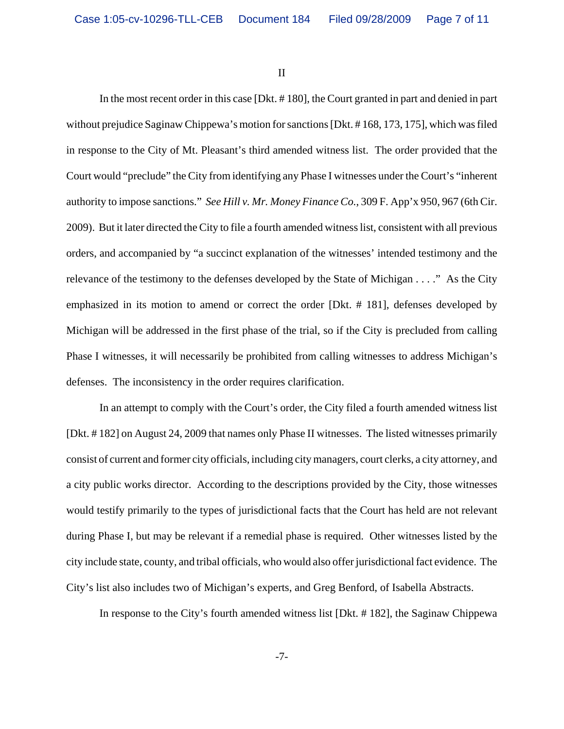II

In the most recent order in this case [Dkt. # 180], the Court granted in part and denied in part without prejudice Saginaw Chippewa's motion for sanctions [Dkt. # 168, 173, 175], which was filed in response to the City of Mt. Pleasant's third amended witness list. The order provided that the Court would "preclude" the City from identifying any Phase I witnesses under the Court's "inherent authority to impose sanctions." *See Hill v. Mr. Money Finance Co.*, 309 F. App'x 950, 967 (6th Cir. 2009). But it later directed the City to file a fourth amended witness list, consistent with all previous orders, and accompanied by "a succinct explanation of the witnesses' intended testimony and the relevance of the testimony to the defenses developed by the State of Michigan . . . ." As the City emphasized in its motion to amend or correct the order [Dkt. # 181], defenses developed by Michigan will be addressed in the first phase of the trial, so if the City is precluded from calling Phase I witnesses, it will necessarily be prohibited from calling witnesses to address Michigan's defenses. The inconsistency in the order requires clarification.

In an attempt to comply with the Court's order, the City filed a fourth amended witness list [Dkt. # 182] on August 24, 2009 that names only Phase II witnesses. The listed witnesses primarily consist of current and former city officials, including city managers, court clerks, a city attorney, and a city public works director. According to the descriptions provided by the City, those witnesses would testify primarily to the types of jurisdictional facts that the Court has held are not relevant during Phase I, but may be relevant if a remedial phase is required. Other witnesses listed by the city include state, county, and tribal officials, who would also offer jurisdictional fact evidence. The City's list also includes two of Michigan's experts, and Greg Benford, of Isabella Abstracts.

In response to the City's fourth amended witness list [Dkt. # 182], the Saginaw Chippewa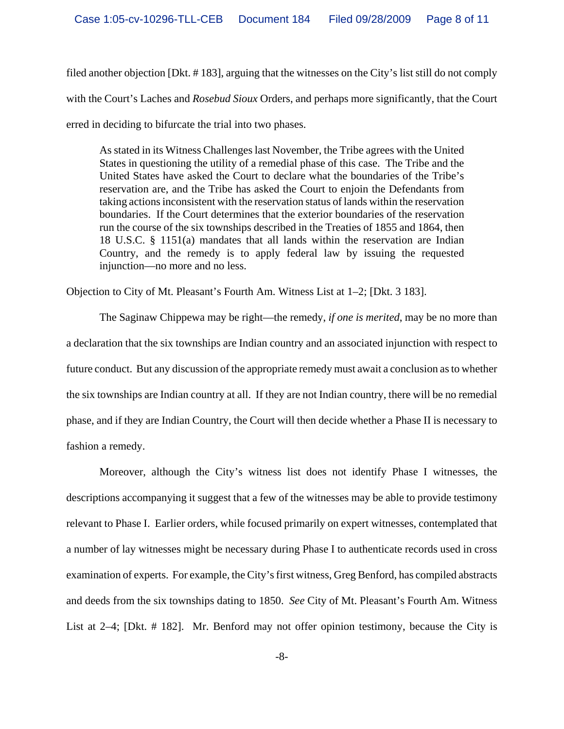filed another objection [Dkt. # 183], arguing that the witnesses on the City's list still do not comply with the Court's Laches and *Rosebud Sioux* Orders, and perhaps more significantly, that the Court erred in deciding to bifurcate the trial into two phases.

As stated in its Witness Challenges last November, the Tribe agrees with the United States in questioning the utility of a remedial phase of this case. The Tribe and the United States have asked the Court to declare what the boundaries of the Tribe's reservation are, and the Tribe has asked the Court to enjoin the Defendants from taking actions inconsistent with the reservation status of lands within the reservation boundaries. If the Court determines that the exterior boundaries of the reservation run the course of the six townships described in the Treaties of 1855 and 1864, then 18 U.S.C. § 1151(a) mandates that all lands within the reservation are Indian Country, and the remedy is to apply federal law by issuing the requested injunction—no more and no less.

Objection to City of Mt. Pleasant's Fourth Am. Witness List at 1–2; [Dkt. 3 183].

The Saginaw Chippewa may be right—the remedy, *if one is merited*, may be no more than a declaration that the six townships are Indian country and an associated injunction with respect to future conduct. But any discussion of the appropriate remedy must await a conclusion as to whether the six townships are Indian country at all. If they are not Indian country, there will be no remedial phase, and if they are Indian Country, the Court will then decide whether a Phase II is necessary to fashion a remedy.

Moreover, although the City's witness list does not identify Phase I witnesses, the descriptions accompanying it suggest that a few of the witnesses may be able to provide testimony relevant to Phase I. Earlier orders, while focused primarily on expert witnesses, contemplated that a number of lay witnesses might be necessary during Phase I to authenticate records used in cross examination of experts. For example, the City's first witness, Greg Benford, has compiled abstracts and deeds from the six townships dating to 1850. *See* City of Mt. Pleasant's Fourth Am. Witness List at 2–4; [Dkt. # 182]. Mr. Benford may not offer opinion testimony, because the City is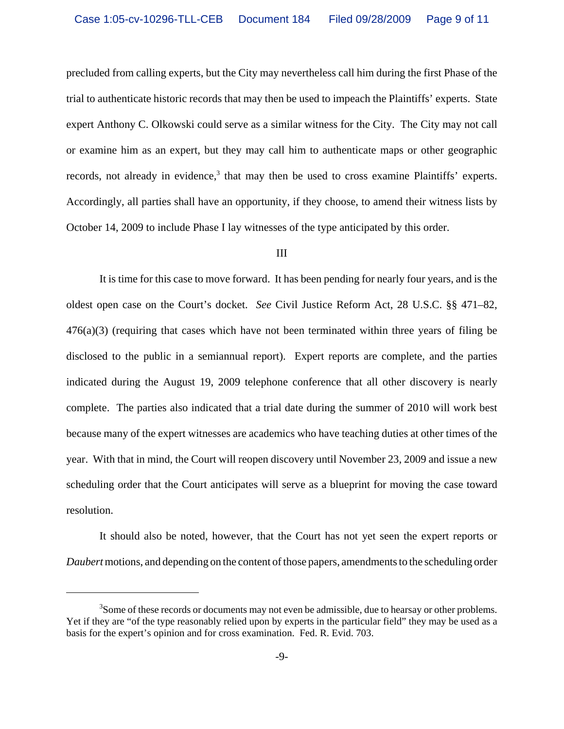precluded from calling experts, but the City may nevertheless call him during the first Phase of the trial to authenticate historic records that may then be used to impeach the Plaintiffs' experts. State expert Anthony C. Olkowski could serve as a similar witness for the City. The City may not call or examine him as an expert, but they may call him to authenticate maps or other geographic records, not already in evidence,<sup>3</sup> that may then be used to cross examine Plaintiffs' experts. Accordingly, all parties shall have an opportunity, if they choose, to amend their witness lists by October 14, 2009 to include Phase I lay witnesses of the type anticipated by this order.

### III

It is time for this case to move forward. It has been pending for nearly four years, and is the oldest open case on the Court's docket. *See* Civil Justice Reform Act, 28 U.S.C. §§ 471–82,  $476(a)(3)$  (requiring that cases which have not been terminated within three years of filing be disclosed to the public in a semiannual report). Expert reports are complete, and the parties indicated during the August 19, 2009 telephone conference that all other discovery is nearly complete. The parties also indicated that a trial date during the summer of 2010 will work best because many of the expert witnesses are academics who have teaching duties at other times of the year. With that in mind, the Court will reopen discovery until November 23, 2009 and issue a new scheduling order that the Court anticipates will serve as a blueprint for moving the case toward resolution.

It should also be noted, however, that the Court has not yet seen the expert reports or *Daubert* motions, and depending on the content of those papers, amendments to the scheduling order

<sup>&</sup>lt;sup>3</sup>Some of these records or documents may not even be admissible, due to hearsay or other problems. Yet if they are "of the type reasonably relied upon by experts in the particular field" they may be used as a basis for the expert's opinion and for cross examination. Fed. R. Evid. 703.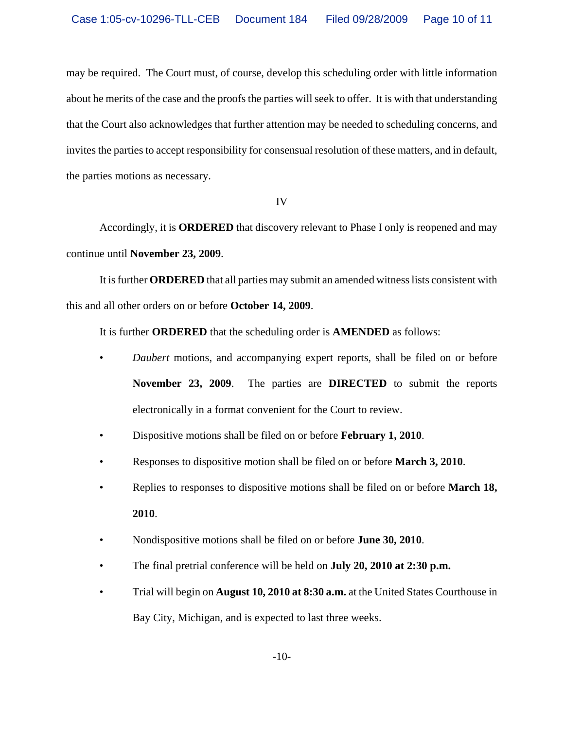may be required. The Court must, of course, develop this scheduling order with little information about he merits of the case and the proofs the parties will seek to offer. It is with that understanding that the Court also acknowledges that further attention may be needed to scheduling concerns, and invites the parties to accept responsibility for consensual resolution of these matters, and in default, the parties motions as necessary.

IV

Accordingly, it is **ORDERED** that discovery relevant to Phase I only is reopened and may continue until **November 23, 2009**.

It is further **ORDERED** that all parties may submit an amended witness lists consistent with this and all other orders on or before **October 14, 2009**.

It is further **ORDERED** that the scheduling order is **AMENDED** as follows:

- *Daubert* motions, and accompanying expert reports, shall be filed on or before **November 23, 2009**. The parties are **DIRECTED** to submit the reports electronically in a format convenient for the Court to review.
- Dispositive motions shall be filed on or before **February 1, 2010**.
- Responses to dispositive motion shall be filed on or before **March 3, 2010**.
- Replies to responses to dispositive motions shall be filed on or before **March 18, 2010**.
- Nondispositive motions shall be filed on or before **June 30, 2010**.
- The final pretrial conference will be held on **July 20, 2010 at 2:30 p.m.**
- Trial will begin on **August 10, 2010 at 8:30 a.m.** at the United States Courthouse in Bay City, Michigan, and is expected to last three weeks.